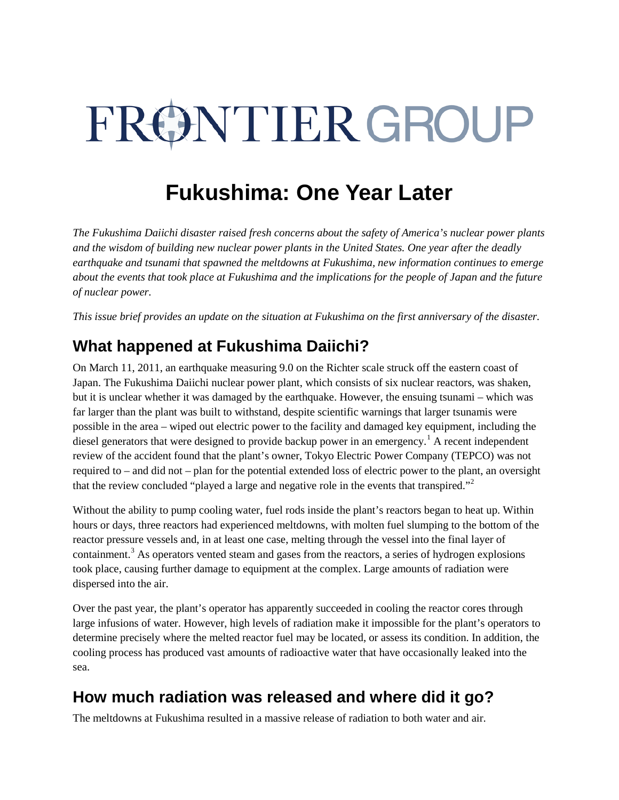# FRØNTIER GROUP

## **Fukushima: One Year Later**

*The Fukushima Daiichi disaster raised fresh concerns about the safety of America's nuclear power plants and the wisdom of building new nuclear power plants in the United States. One year after the deadly earthquake and tsunami that spawned the meltdowns at Fukushima, new information continues to emerge about the events that took place at Fukushima and the implications for the people of Japan and the future of nuclear power.* 

*This issue brief provides an update on the situation at Fukushima on the first anniversary of the disaster.*

### **What happened at Fukushima Daiichi?**

On March 11, 2011, an earthquake measuring 9.0 on the Richter scale struck off the eastern coast of Japan. The Fukushima Daiichi nuclear power plant, which consists of six nuclear reactors, was shaken, but it is unclear whether it was damaged by the earthquake. However, the ensuing tsunami – which was far larger than the plant was built to withstand, despite scientific warnings that larger tsunamis were possible in the area – wiped out electric power to the facility and damaged key equipment, including the diesel generators that were designed to provide backup power in an emergency.<sup>[1](#page-3-0)</sup> A recent independent review of the accident found that the plant's owner, Tokyo Electric Power Company (TEPCO) was not required to – and did not – plan for the potential extended loss of electric power to the plant, an oversight that the review concluded "played a large and negative role in the events that transpired."<sup>[2](#page-3-1)</sup>

Without the ability to pump cooling water, fuel rods inside the plant's reactors began to heat up. Within hours or days, three reactors had experienced meltdowns, with molten fuel slumping to the bottom of the reactor pressure vessels and, in at least one case, melting through the vessel into the final layer of containment.<sup>[3](#page-3-2)</sup> As operators vented steam and gases from the reactors, a series of hydrogen explosions took place, causing further damage to equipment at the complex. Large amounts of radiation were dispersed into the air.

Over the past year, the plant's operator has apparently succeeded in cooling the reactor cores through large infusions of water. However, high levels of radiation make it impossible for the plant's operators to determine precisely where the melted reactor fuel may be located, or assess its condition. In addition, the cooling process has produced vast amounts of radioactive water that have occasionally leaked into the sea.

#### **How much radiation was released and where did it go?**

The meltdowns at Fukushima resulted in a massive release of radiation to both water and air.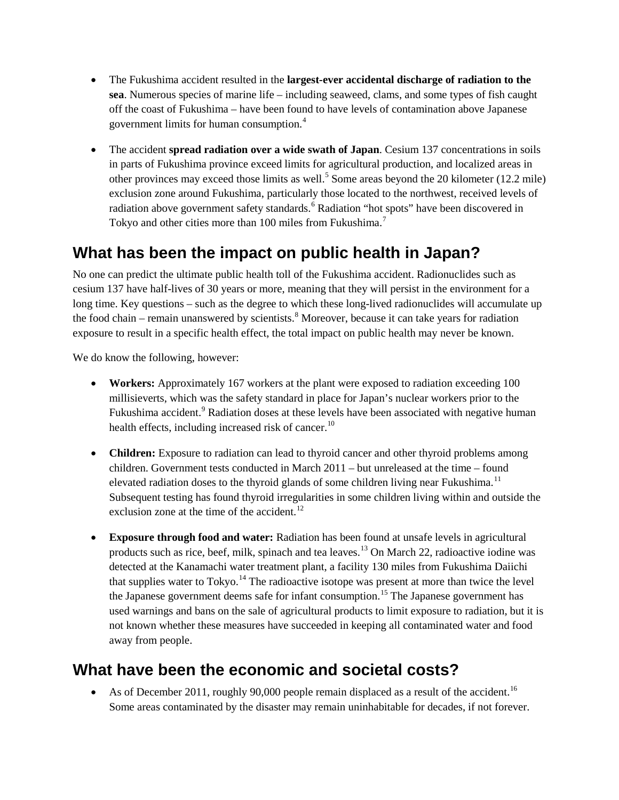- The Fukushima accident resulted in the **largest-ever accidental discharge of radiation to the sea**. Numerous species of marine life – including seaweed, clams, and some types of fish caught off the coast of Fukushima – have been found to have levels of contamination above Japanese government limits for human consumption.[4](#page-3-3)
- The accident **spread radiation over a wide swath of Japan**. Cesium 137 concentrations in soils in parts of Fukushima province exceed limits for agricultural production, and localized areas in other provinces may exceed those limits as well.<sup>[5](#page-3-4)</sup> Some areas beyond the 20 kilometer (12.2 mile) exclusion zone around Fukushima, particularly those located to the northwest, received levels of radiation above government safety standards.<sup>[6](#page-3-5)</sup> Radiation "hot spots" have been discovered in Tokyo and other cities more than 100 miles from Fukushima.<sup>[7](#page-3-6)</sup>

#### **What has been the impact on public health in Japan?**

No one can predict the ultimate public health toll of the Fukushima accident. Radionuclides such as cesium 137 have half-lives of 30 years or more, meaning that they will persist in the environment for a long time. Key questions – such as the degree to which these long-lived radionuclides will accumulate up the food chain – remain unanswered by scientists.<sup>[8](#page-3-7)</sup> Moreover, because it can take years for radiation exposure to result in a specific health effect, the total impact on public health may never be known.

We do know the following, however:

- **Workers:** Approximately 167 workers at the plant were exposed to radiation exceeding 100 millisieverts, which was the safety standard in place for Japan's nuclear workers prior to the Fukushima accident.<sup>[9](#page-3-8)</sup> Radiation doses at these levels have been associated with negative human health effects, including increased risk of cancer.<sup>[10](#page-3-9)</sup>
- **Children:** Exposure to radiation can lead to thyroid cancer and other thyroid problems among children. Government tests conducted in March 2011 – but unreleased at the time – found elevated radiation doses to the thyroid glands of some children living near Fukushima.<sup>[11](#page-3-10)</sup> Subsequent testing has found thyroid irregularities in some children living within and outside the exclusion zone at the time of the accident. $^{12}$  $^{12}$  $^{12}$
- **Exposure through food and water:** Radiation has been found at unsafe levels in agricultural products such as rice, beef, milk, spinach and tea leaves.<sup>[13](#page-3-12)</sup> On March 22, radioactive iodine was detected at the Kanamachi water treatment plant, a facility 130 miles from Fukushima Daiichi that supplies water to  $Tokyo$ .<sup>[14](#page-3-13)</sup> The radioactive isotope was present at more than twice the level the Japanese government deems safe for infant consumption.<sup>[15](#page-3-14)</sup> The Japanese government has used warnings and bans on the sale of agricultural products to limit exposure to radiation, but it is not known whether these measures have succeeded in keeping all contaminated water and food away from people.

#### **What have been the economic and societal costs?**

• As of December 2011, roughly 90,000 people remain displaced as a result of the accident.<sup>16</sup> Some areas contaminated by the disaster may remain uninhabitable for decades, if not forever.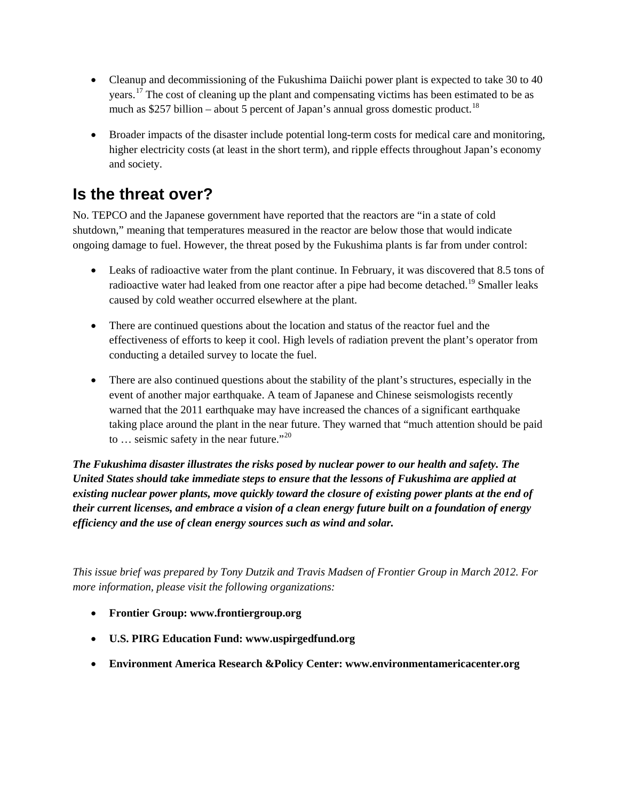- Cleanup and decommissioning of the Fukushima Daiichi power plant is expected to take 30 to 40 years.[17](#page-3-16) The cost of cleaning up the plant and compensating victims has been estimated to be as much as \$257 billion – about 5 percent of Japan's annual gross domestic product.<sup>[18](#page-3-17)</sup>
- Broader impacts of the disaster include potential long-term costs for medical care and monitoring, higher electricity costs (at least in the short term), and ripple effects throughout Japan's economy and society.

#### **Is the threat over?**

No. TEPCO and the Japanese government have reported that the reactors are "in a state of cold shutdown," meaning that temperatures measured in the reactor are below those that would indicate ongoing damage to fuel. However, the threat posed by the Fukushima plants is far from under control:

- Leaks of radioactive water from the plant continue. In February, it was discovered that 8.5 tons of radioactive water had leaked from one reactor after a pipe had become detached.<sup>[19](#page-3-18)</sup> Smaller leaks caused by cold weather occurred elsewhere at the plant.
- There are continued questions about the location and status of the reactor fuel and the effectiveness of efforts to keep it cool. High levels of radiation prevent the plant's operator from conducting a detailed survey to locate the fuel.
- There are also continued questions about the stability of the plant's structures, especially in the event of another major earthquake. A team of Japanese and Chinese seismologists recently warned that the 2011 earthquake may have increased the chances of a significant earthquake taking place around the plant in the near future. They warned that "much attention should be paid to  $\ldots$  seismic safety in the near future."<sup>[20](#page-3-19)</sup>

*The Fukushima disaster illustrates the risks posed by nuclear power to our health and safety. The United States should take immediate steps to ensure that the lessons of Fukushima are applied at existing nuclear power plants, move quickly toward the closure of existing power plants at the end of their current licenses, and embrace a vision of a clean energy future built on a foundation of energy efficiency and the use of clean energy sources such as wind and solar.*

*This issue brief was prepared by Tony Dutzik and Travis Madsen of Frontier Group in March 2012. For more information, please visit the following organizations:*

- **Frontier Group: [www.frontiergroup.org](http://www.frontiergroup.org/)**
- **U.S. PIRG Education Fund: [www.uspirgedfund.org](http://www.uspirgedfund.org/)**
- **Environment America Research &Policy Center: [www.environmentamericacenter.org](http://www.environmentamericacenter.org/)**